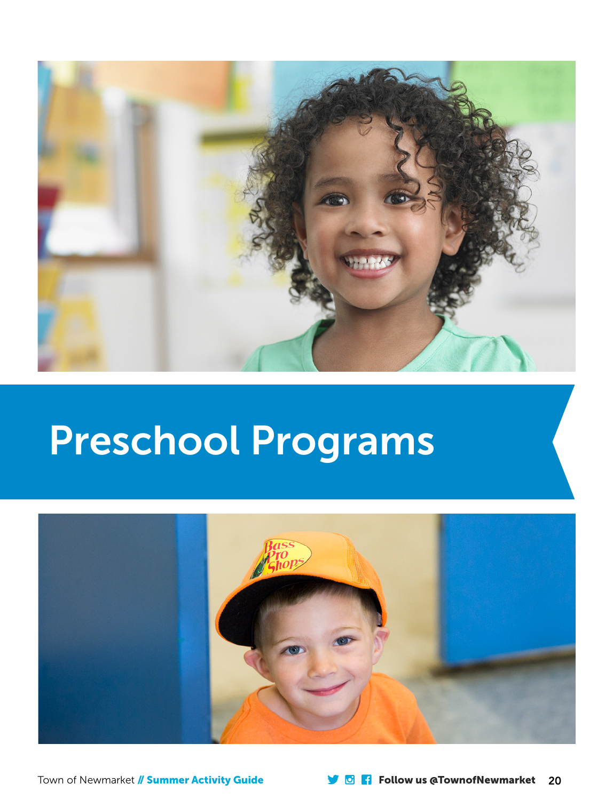

# Preschool Programs